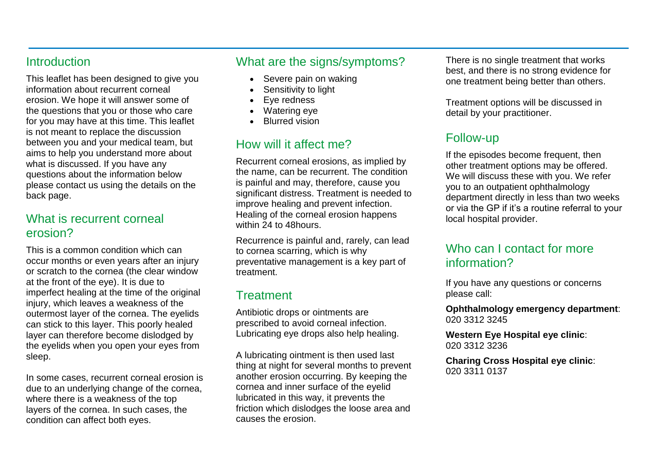#### **Introduction**

This leaflet has been designed to give you information about recurrent corneal erosion. We hope it will answer some of the questions that you or those who care for you may have at this time. This leaflet is not meant to replace the discussion between you and your medical team, but aims to help you understand more about what is discussed. If you have any questions about the information below please contact us using the details on the back page.

## What is recurrent corneal erosion?

This is a common condition which can occur months or even years after an injury or scratch to the cornea (the clear window at the front of the eye). It is due to imperfect healing at the time of the original injury, which leaves a weakness of the outermost layer of the cornea. The eyelids can stick to this layer. This poorly healed layer can therefore become dislodged by the eyelids when you open your eyes from sleep.

In some cases, recurrent corneal erosion is due to an underlying change of the cornea, where there is a weakness of the top layers of the cornea. In such cases, the condition can affect both eyes.

## What are the signs/symptoms?

- Severe pain on waking
- Sensitivity to light
- Eye redness
- Watering eye
- Blurred vision

# How will it affect me?

Recurrent corneal erosions, as implied by the name, can be recurrent. The condition is painful and may, therefore, cause you significant distress. Treatment is needed to improve healing and prevent infection. Healing of the corneal erosion happens within 24 to 48hours.

Recurrence is painful and, rarely, can lead to cornea scarring, which is why preventative management is a key part of treatment.

## **Treatment**

Antibiotic drops or ointments are prescribed to avoid corneal infection. Lubricating eye drops also help healing.

A lubricating ointment is then used last thing at night for several months to prevent another erosion occurring. By keeping the cornea and inner surface of the eyelid lubricated in this way, it prevents the friction which dislodges the loose area and causes the erosion.

There is no single treatment that works best, and there is no strong evidence for one treatment being better than others.

Treatment options will be discussed in detail by your practitioner.

# Follow-up

If the episodes become frequent, then other treatment options may be offered. We will discuss these with you. We refer you to an outpatient ophthalmology department directly in less than two weeks or via the GP if it's a routine referral to your local hospital provider.

## Who can I contact for more information?

If you have any questions or concerns please call:

**Ophthalmology emergency department**: 020 3312 3245

**Western Eye Hospital eye clinic**: 020 3312 3236

**Charing Cross Hospital eye clinic**: 020 3311 0137